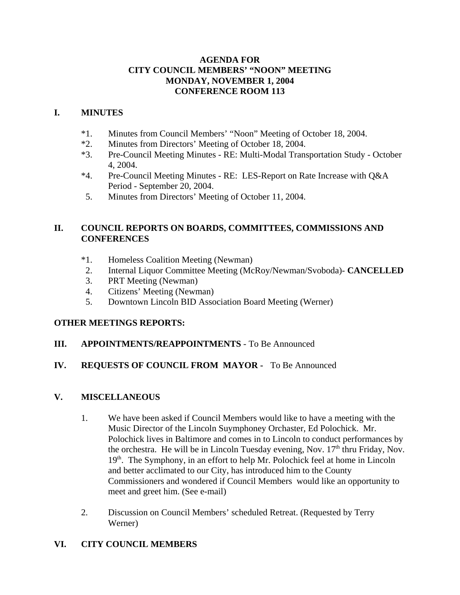### **AGENDA FOR CITY COUNCIL MEMBERS' "NOON" MEETING MONDAY, NOVEMBER 1, 2004 CONFERENCE ROOM 113**

### **I. MINUTES**

- \*1. Minutes from Council Members' "Noon" Meeting of October 18, 2004.
- \*2. Minutes from Directors' Meeting of October 18, 2004.
- \*3. Pre-Council Meeting Minutes RE: Multi-Modal Transportation Study October 4, 2004.
- \*4. Pre-Council Meeting Minutes RE: LES-Report on Rate Increase with Q&A Period - September 20, 2004.
- 5. Minutes from Directors' Meeting of October 11, 2004.

### **II. COUNCIL REPORTS ON BOARDS, COMMITTEES, COMMISSIONS AND CONFERENCES**

- \*1. Homeless Coalition Meeting (Newman)
- 2. Internal Liquor Committee Meeting (McRoy/Newman/Svoboda)- **CANCELLED**
- 3. PRT Meeting (Newman)
- 4. Citizens' Meeting (Newman)
- 5. Downtown Lincoln BID Association Board Meeting (Werner)

# **OTHER MEETINGS REPORTS:**

### **III. APPOINTMENTS/REAPPOINTMENTS** - To Be Announced

# **IV. REQUESTS OF COUNCIL FROM MAYOR -** To Be Announced

# **V. MISCELLANEOUS**

- 1. We have been asked if Council Members would like to have a meeting with the Music Director of the Lincoln Suymphoney Orchaster, Ed Polochick. Mr. Polochick lives in Baltimore and comes in to Lincoln to conduct performances by the orchestra. He will be in Lincoln Tuesday evening, Nov.  $17<sup>th</sup>$  thru Friday, Nov.  $19<sup>th</sup>$ . The Symphony, in an effort to help Mr. Polochick feel at home in Lincoln and better acclimated to our City, has introduced him to the County Commissioners and wondered if Council Members would like an opportunity to meet and greet him. (See e-mail)
- 2. Discussion on Council Members' scheduled Retreat. (Requested by Terry Werner)

# **VI. CITY COUNCIL MEMBERS**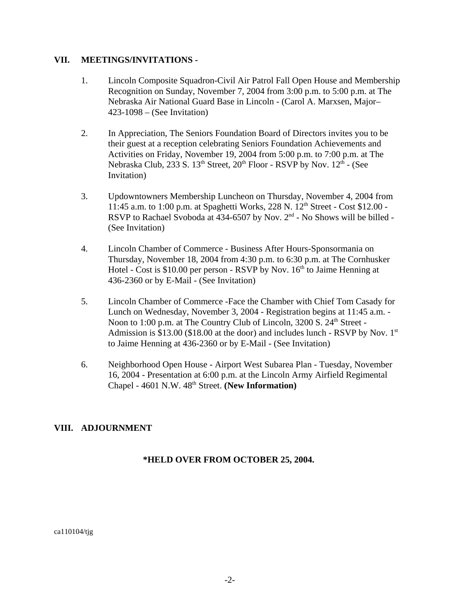#### **VII. MEETINGS/INVITATIONS -**

- 1. Lincoln Composite Squadron-Civil Air Patrol Fall Open House and Membership Recognition on Sunday, November 7, 2004 from 3:00 p.m. to 5:00 p.m. at The Nebraska Air National Guard Base in Lincoln - (Carol A. Marxsen, Major– 423-1098 – (See Invitation)
- 2. In Appreciation, The Seniors Foundation Board of Directors invites you to be their guest at a reception celebrating Seniors Foundation Achievements and Activities on Friday, November 19, 2004 from 5:00 p.m. to 7:00 p.m. at The Nebraska Club, 233 S. 13<sup>th</sup> Street, 20<sup>th</sup> Floor - RSVP by Nov. 12<sup>th</sup> - (See Invitation)
- 3. Updowntowners Membership Luncheon on Thursday, November 4, 2004 from 11:45 a.m. to 1:00 p.m. at Spaghetti Works, 228 N. 12th Street - Cost \$12.00 - RSVP to Rachael Svoboda at  $434-6507$  by Nov.  $2<sup>nd</sup>$  - No Shows will be billed -(See Invitation)
- 4. Lincoln Chamber of Commerce Business After Hours-Sponsormania on Thursday, November 18, 2004 from 4:30 p.m. to 6:30 p.m. at The Cornhusker Hotel - Cost is  $$10.00$  per person - RSVP by Nov.  $16<sup>th</sup>$  to Jaime Henning at 436-2360 or by E-Mail - (See Invitation)
- 5. Lincoln Chamber of Commerce -Face the Chamber with Chief Tom Casady for Lunch on Wednesday, November 3, 2004 - Registration begins at 11:45 a.m. - Noon to 1:00 p.m. at The Country Club of Lincoln, 3200 S. 24<sup>th</sup> Street -Admission is \$13.00 (\$18.00 at the door) and includes lunch - RSVP by Nov.  $1<sup>st</sup>$ to Jaime Henning at 436-2360 or by E-Mail - (See Invitation)
- 6. Neighborhood Open House Airport West Subarea Plan Tuesday, November 16, 2004 - Presentation at 6:00 p.m. at the Lincoln Army Airfield Regimental Chapel - 4601 N.W. 48th Street. **(New Information)**

### **VIII. ADJOURNMENT**

### **\*HELD OVER FROM OCTOBER 25, 2004.**

ca110104/tjg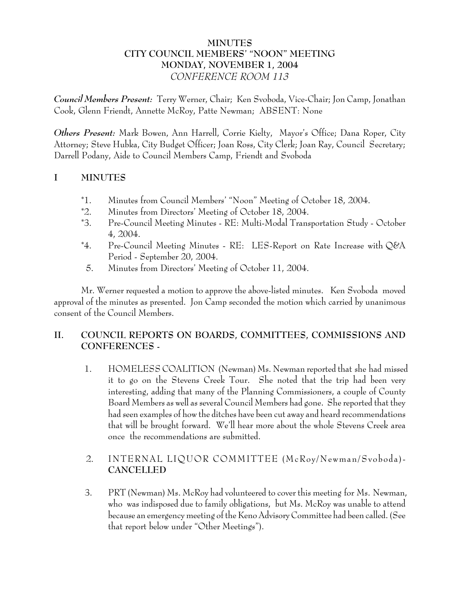# **MINUTES CITY COUNCIL MEMBERS' "NOON" MEETING MONDAY, NOVEMBER 1, 2004** *CONFERENCE ROOM 113*

*Council Members Present:* Terry Werner, Chair; Ken Svoboda, Vice-Chair; Jon Camp, Jonathan Cook, Glenn Friendt, Annette McRoy, Patte Newman; ABSENT: None

*Others Present:* Mark Bowen, Ann Harrell, Corrie Kielty, Mayor's Office; Dana Roper, City Attorney; Steve Hubka, City Budget Officer; Joan Ross, City Clerk; Joan Ray, Council Secretary; Darrell Podany, Aide to Council Members Camp, Friendt and Svoboda

# **I MINUTES**

- \*1. Minutes from Council Members' "Noon" Meeting of October 18, 2004.
- \*2. Minutes from Directors' Meeting of October 18, 2004.
- \*3. Pre-Council Meeting Minutes RE: Multi-Modal Transportation Study October 4, 2004.
- \*4. Pre-Council Meeting Minutes RE: LES-Report on Rate Increase with Q&A Period - September 20, 2004.
- 5. Minutes from Directors' Meeting of October 11, 2004.

Mr. Werner requested a motion to approve the above-listed minutes. Ken Svoboda moved approval of the minutes as presented. Jon Camp seconded the motion which carried by unanimous consent of the Council Members.

### **II. COUNCIL REPORTS ON BOARDS, COMMITTEES, COMMISSIONS AND CONFERENCES -**

 1. HOMELESS COALITION (Newman) Ms. Newman reported that she had missed it to go on the Stevens Creek Tour. She noted that the trip had been very interesting, adding that many of the Planning Commissioners, a couple of County Board Members as well as several Council Members had gone. She reported that they had seen examples of how the ditches have been cut away and heard recommendations that will be brought forward. We'll hear more about the whole Stevens Creek area once the recommendations are submitted.

### 2. INTERNAL LIQUOR COMMITTEE (McRoy/Newman/Svoboda)- **CANCELLED**

 3. PRT (Newman) Ms. McRoy had volunteered to cover this meeting for Ms. Newman, who was indisposed due to family obligations, but Ms. McRoy was unable to attend because an emergency meeting of the Keno Advisory Committee had been called. (See that report below under "Other Meetings").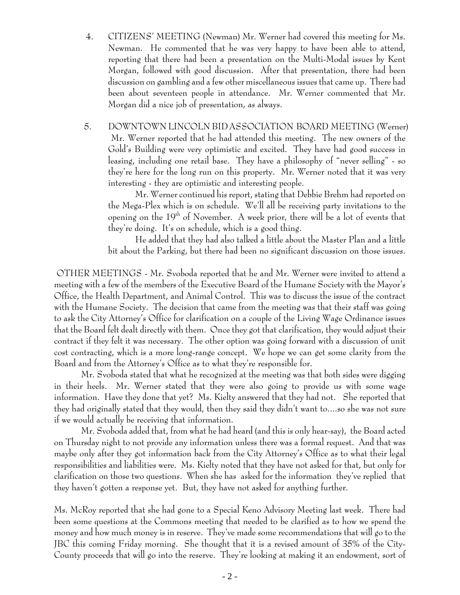- 4. CITIZENS' MEETING (Newman) Mr. Werner had covered this meeting for Ms. Newman. He commented that he was very happy to have been able to attend, reporting that there had been a presentation on the Multi-Modal issues by Kent Morgan, followed with good discussion. After that presentation, there had been discussion on gambling and a few other miscellaneous issues that came up. There had been about seventeen people in attendance. Mr. Werner commented that Mr. Morgan did a nice job of presentation, as always.
- 5. DOWNTOWN LINCOLN BID ASSOCIATION BOARD MEETING (Werner) Mr. Werner reported that he had attended this meeting. The new owners of the Gold's Building were very optimistic and excited. They have had good success in leasing, including one retail base. They have a philosophy of "never selling" - so they're here for the long run on this property. Mr. Werner noted that it was very interesting - they are optimistic and interesting people.

Mr. Werner continued his report, stating that Debbie Brehm had reported on the Mega-Plex which is on schedule. We'll all be receiving party invitations to the opening on the 19<sup>th</sup> of November. A week prior, there will be a lot of events that they're doing. It's on schedule, which is a good thing.

He added that they had also talked a little about the Master Plan and a little bit about the Parking, but there had been no significant discussion on those issues.

 OTHER MEETINGS - Mr. Svoboda reported that he and Mr. Werner were invited to attend a meeting with a few of the members of the Executive Board of the Humane Society with the Mayor's Office, the Health Department, and Animal Control. This was to discuss the issue of the contract with the Humane Society. The decision that came from the meeting was that their staff was going to ask the City Attorney's Office for clarification on a couple of the Living Wage Ordinance issues that the Board felt dealt directly with them. Once they got that clarification, they would adjust their contract if they felt it was necessary. The other option was going forward with a discussion of unit cost contracting, which is a more long-range concept. We hope we can get some clarity from the Board and from the Attorney's Office as to what they're responsible for.

Mr. Svoboda stated that what he recognized at the meeting was that both sides were digging in their heels. Mr. Werner stated that they were also going to provide us with some wage information. Have they done that yet? Ms. Kielty answered that they had not. She reported that they had originally stated that they would, then they said they didn't want to....so she was not sure if we would actually be receiving that information.

Mr. Svoboda added that, from what he had heard (and this is only hear-say), the Board acted on Thursday night to not provide any information unless there was a formal request. And that was maybe only after they got information back from the City Attorney's Office as to what their legal responsibilities and liabilities were. Ms. Kielty noted that they have not asked for that, but only for clarification on those two questions. When she has asked for the information they've replied that they haven't gotten a response yet. But, they have not asked for anything further.

Ms. McRoy reported that she had gone to a Special Keno Advisory Meeting last week. There had been some questions at the Commons meeting that needed to be clarified as to how we spend the money and how much money is in reserve. They've made some recommendations that will go to the JBC this coming Friday morning. She thought that it is a revised amount of 35% of the City-County proceeds that will go into the reserve. They're looking at making it an endowment, sort of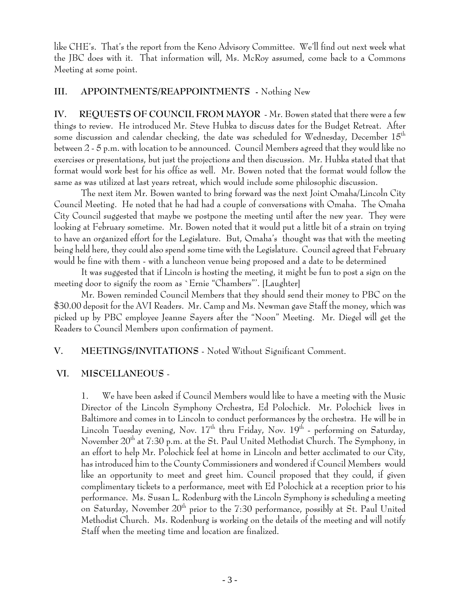like CHE's. That's the report from the Keno Advisory Committee. We'll find out next week what the JBC does with it. That information will, Ms. McRoy assumed, come back to a Commons Meeting at some point.

#### **III. APPOINTMENTS/REAPPOINTMENTS -** Nothing New

**IV. REQUESTS OF COUNCIL FROM MAYOR** - Mr. Bowen stated that there were a few things to review. He introduced Mr. Steve Hubka to discuss dates for the Budget Retreat. After some discussion and calendar checking, the date was scheduled for Wednesday, December  $15<sup>th</sup>$ between 2 - 5 p.m. with location to be announced. Council Members agreed that they would like no exercises or presentations, but just the projections and then discussion. Mr. Hubka stated that that format would work best for his office as well. Mr. Bowen noted that the format would follow the same as was utilized at last years retreat, which would include some philosophic discussion.

The next item Mr. Bowen wanted to bring forward was the next Joint Omaha/Lincoln City Council Meeting. He noted that he had had a couple of conversations with Omaha. The Omaha City Council suggested that maybe we postpone the meeting until after the new year. They were looking at February sometime. Mr. Bowen noted that it would put a little bit of a strain on trying to have an organized effort for the Legislature. But, Omaha's thought was that with the meeting being held here, they could also spend some time with the Legislature. Council agreed that February would be fine with them - with a luncheon venue being proposed and a date to be determined

It was suggested that if Lincoln is hosting the meeting, it might be fun to post a sign on the meeting door to signify the room as `Ernie "Chambers"'. [Laughter]

Mr. Bowen reminded Council Members that they should send their money to PBC on the \$30.00 deposit for the AVI Readers. Mr. Camp and Ms. Newman gave Staff the money, which was picked up by PBC employee Jeanne Sayers after the "Noon" Meeting. Mr. Diegel will get the Readers to Council Members upon confirmation of payment.

### **V. MEETINGS/INVITATIONS** - Noted Without Significant Comment.

### **VI. MISCELLANEOUS** -

1. We have been asked if Council Members would like to have a meeting with the Music Director of the Lincoln Symphony Orchestra, Ed Polochick. Mr. Polochick lives in Baltimore and comes in to Lincoln to conduct performances by the orchestra. He will be in Lincoln Tuesday evening, Nov.  $17<sup>th</sup>$  thru Friday, Nov.  $19<sup>th</sup>$  - performing on Saturday, November 20<sup>th</sup> at 7:30 p.m. at the St. Paul United Methodist Church. The Symphony, in an effort to help Mr. Polochick feel at home in Lincoln and better acclimated to our City, has introduced him to the County Commissioners and wondered if Council Members would like an opportunity to meet and greet him. Council proposed that they could, if given complimentary tickets to a performance, meet with Ed Polochick at a reception prior to his performance. Ms. Susan L. Rodenburg with the Lincoln Symphony is scheduling a meeting on Saturday, November  $20<sup>th</sup>$  prior to the 7:30 performance, possibly at St. Paul United Methodist Church. Ms. Rodenburg is working on the details of the meeting and will notify Staff when the meeting time and location are finalized.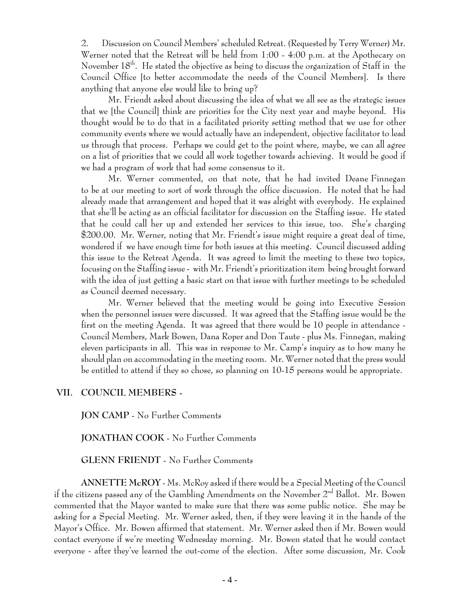2. Discussion on Council Members' scheduled Retreat. (Requested by Terry Werner) Mr. Werner noted that the Retreat will be held from 1:00 - 4:00 p.m. at the Apothecary on November  $18<sup>th</sup>$ . He stated the objective as being to discuss the organization of Staff in the Council Office [to better accommodate the needs of the Council Members]. Is there anything that anyone else would like to bring up?

Mr. Friendt asked about discussing the idea of what we all see as the strategic issues that we [the Council] think are priorities for the City next year and maybe beyond. His thought would be to do that in a facilitated priority setting method that we use for other community events where we would actually have an independent, objective facilitator to lead us through that process. Perhaps we could get to the point where, maybe, we can all agree on a list of priorities that we could all work together towards achieving. It would be good if we had a program of work that had some consensus to it.

 Mr. Werner commented, on that note, that he had invited Deane Finnegan to be at our meeting to sort of work through the office discussion. He noted that he had already made that arrangement and hoped that it was alright with everybody. He explained that she'll be acting as an official facilitator for discussion on the Staffing issue. He stated that he could call her up and extended her services to this issue, too. She's charging \$200.00. Mr. Werner, noting that Mr. Friendt's issue might require a great deal of time, wondered if we have enough time for both issues at this meeting. Council discussed adding this issue to the Retreat Agenda. It was agreed to limit the meeting to these two topics, focusing on the Staffing issue - with Mr. Friendt's prioritization item being brought forward with the idea of just getting a basic start on that issue with further meetings to be scheduled as Council deemed necessary.

Mr. Werner believed that the meeting would be going into Executive Session when the personnel issues were discussed. It was agreed that the Staffing issue would be the first on the meeting Agenda. It was agreed that there would be 10 people in attendance - Council Members, Mark Bowen, Dana Roper and Don Taute - plus Ms. Finnegan, making eleven participants in all. This was in response to Mr. Camp's inquiry as to how many he should plan on accommodating in the meeting room. Mr. Werner noted that the press would be entitled to attend if they so chose, so planning on 10-15 persons would be appropriate.

#### **VII. COUNCIL MEMBERS -**

**JON CAMP** - No Further Comments

**JONATHAN COOK** - No Further Comments

**GLENN FRIENDT** - No Further Comments

**ANNETTE McROY** - Ms. McRoy asked if there would be a Special Meeting of the Council if the citizens passed any of the Gambling Amendments on the November  $2^{nd}$  Ballot. Mr. Bowen commented that the Mayor wanted to make sure that there was some public notice. She may be asking for a Special Meeting. Mr. Werner asked, then, if they were leaving it in the hands of the Mayor's Office. Mr. Bowen affirmed that statement. Mr. Werner asked then if Mr. Bowen would contact everyone if we're meeting Wednesday morning. Mr. Bowen stated that he would contact everyone - after they've learned the out-come of the election. After some discussion, Mr. Cook